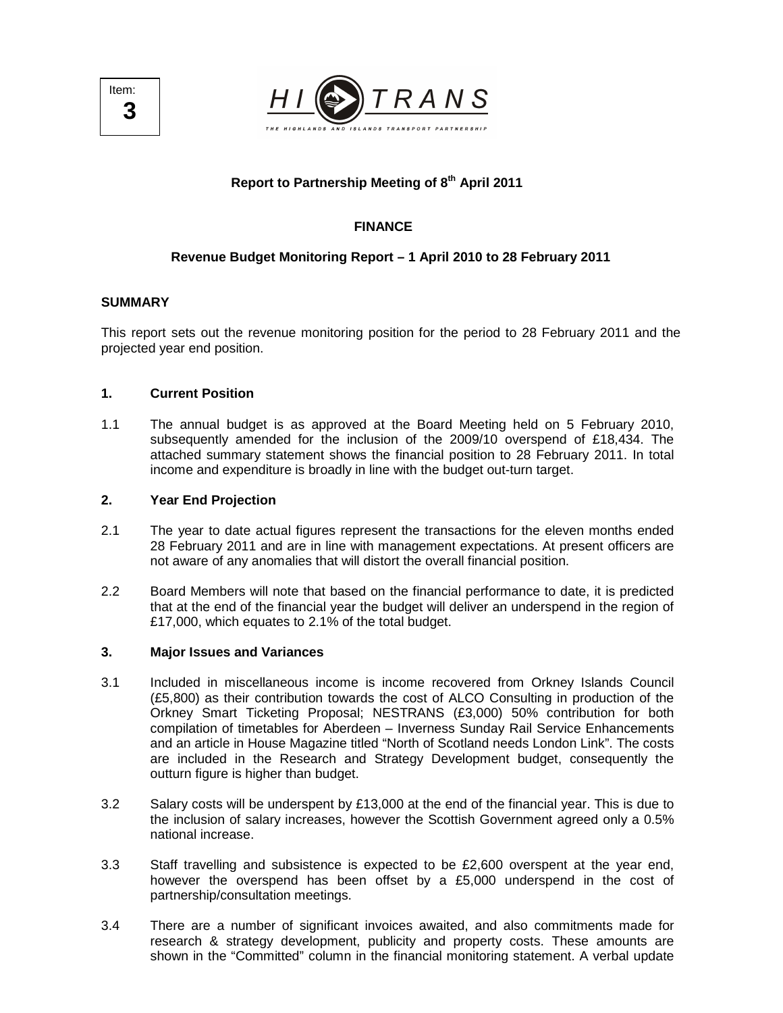



# **Report to Partnership Meeting of 8th April 2011**

# **FINANCE**

# **Revenue Budget Monitoring Report – 1 April 2010 to 28 February 2011**

## **SUMMARY**

This report sets out the revenue monitoring position for the period to 28 February 2011 and the projected year end position.

## **1. Current Position**

1.1 The annual budget is as approved at the Board Meeting held on 5 February 2010, subsequently amended for the inclusion of the 2009/10 overspend of £18,434. The attached summary statement shows the financial position to 28 February 2011. In total income and expenditure is broadly in line with the budget out-turn target.

# **2. Year End Projection**

- 2.1 The year to date actual figures represent the transactions for the eleven months ended 28 February 2011 and are in line with management expectations. At present officers are not aware of any anomalies that will distort the overall financial position.
- 2.2 Board Members will note that based on the financial performance to date, it is predicted that at the end of the financial year the budget will deliver an underspend in the region of £17,000, which equates to 2.1% of the total budget.

## **3. Major Issues and Variances**

- 3.1 Included in miscellaneous income is income recovered from Orkney Islands Council (£5,800) as their contribution towards the cost of ALCO Consulting in production of the Orkney Smart Ticketing Proposal; NESTRANS (£3,000) 50% contribution for both compilation of timetables for Aberdeen – Inverness Sunday Rail Service Enhancements and an article in House Magazine titled "North of Scotland needs London Link". The costs are included in the Research and Strategy Development budget, consequently the outturn figure is higher than budget.
- 3.2 Salary costs will be underspent by  $£13,000$  at the end of the financial year. This is due to the inclusion of salary increases, however the Scottish Government agreed only a 0.5% national increase.
- 3.3 Staff travelling and subsistence is expected to be £2,600 overspent at the year end, however the overspend has been offset by a £5,000 underspend in the cost of partnership/consultation meetings.
- 3.4 There are a number of significant invoices awaited, and also commitments made for research & strategy development, publicity and property costs. These amounts are shown in the "Committed" column in the financial monitoring statement. A verbal update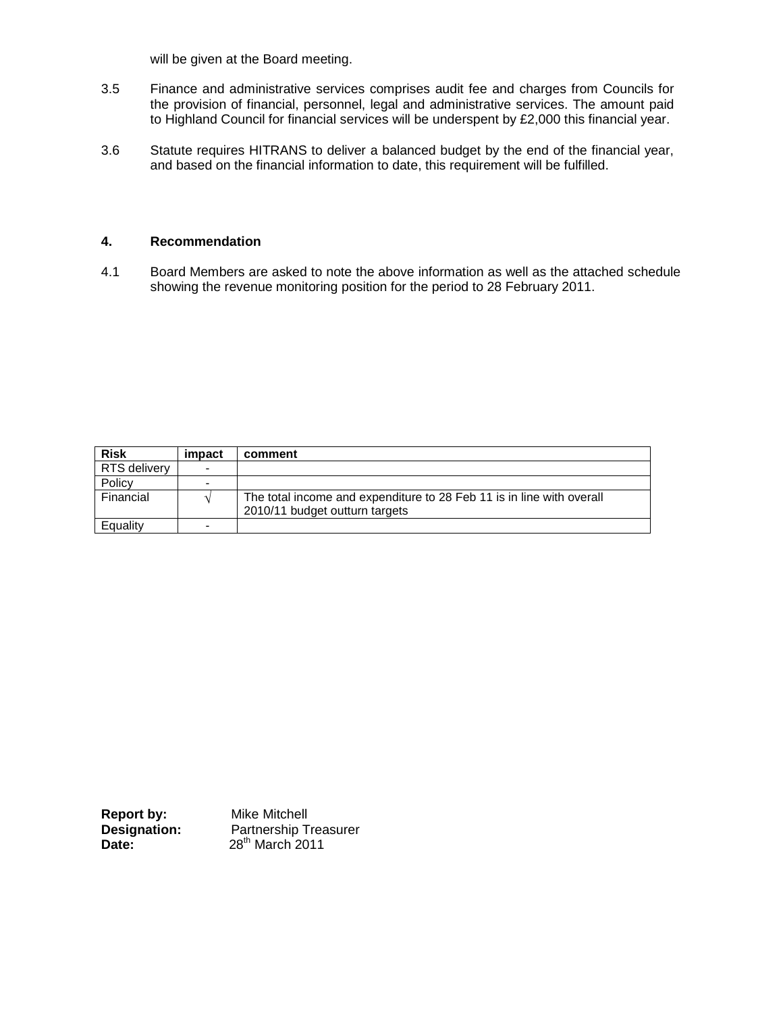will be given at the Board meeting.

- 3.5 Finance and administrative services comprises audit fee and charges from Councils for the provision of financial, personnel, legal and administrative services. The amount paid to Highland Council for financial services will be underspent by £2,000 this financial year.
- 3.6 Statute requires HITRANS to deliver a balanced budget by the end of the financial year, and based on the financial information to date, this requirement will be fulfilled.

## **4. Recommendation**

4.1 Board Members are asked to note the above information as well as the attached schedule showing the revenue monitoring position for the period to 28 February 2011.

| <b>Risk</b>  | impact | comment                                                                                                 |
|--------------|--------|---------------------------------------------------------------------------------------------------------|
| RTS delivery | -      |                                                                                                         |
| Policy       |        |                                                                                                         |
| Financial    |        | The total income and expenditure to 28 Feb 11 is in line with overall<br>2010/11 budget outturn targets |
| Equality     | -      |                                                                                                         |

| Report by:          | Mike Mitchell                |
|---------------------|------------------------------|
| <b>Designation:</b> | <b>Partnership Treasurer</b> |
| Date:               | $28th$ March 2011            |